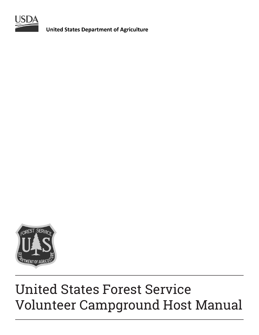

**United States Department of Agriculture** 



# United States Forest Service Volunteer Campground Host Manual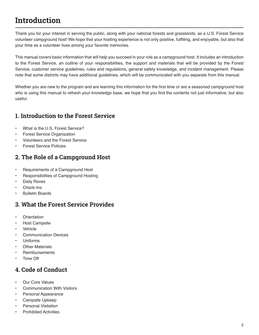## **Introduction**

Thank you for your interest in serving the public, along with your national forests and grasslands, as a U.S. Forest Service volunteer campground host! We hope that your hosting experience is not only positive, fulfilling, and enjoyable, but also that your time as a volunteer lives among your favorite memories.

This manual covers basic information that will help you succeed in your role as a campground host. It includes an introduction to the Forest Service, an outline of your responsibilities, the support and materials that will be provided by the Forest Service, customer service guidelines, rules and regulations, general safety knowledge, and incident management. Please note that some districts may have additional guidelines, which will be communicated with you separate from this manual.

Whether you are new to the program and are learning this information for the first time or are a seasoned campground host who is using this manual to refresh your knowledge base, we hope that you find the contents not just informative, but also useful.

### **1. Introduction to the Forest Service**

- What is the U.S. Forest Service?
- Forest Service Organization
- Volunteers and the Forest Service
- Forest Service Policies

### **2. The Role of a Campground Host**

- Requirements of a Campground Host
- Responsibilities of Campground Hosting
- Daily Roves
- Check-Ins
- Bulletin Boards

### **3. What the Forest Service Provides**

- **Orientation**
- Host Campsite
- **Vehicle**
- Communication Devices
- Uniforms
- **Other Materials**
- **Reimbursements**
- Time Off

### **4. Code of Conduct**

- Our Core Values
- Communication With Visitors
- Personal Appearance
- Campsite Upkeep
- Personal Visitation
- Prohibited Activities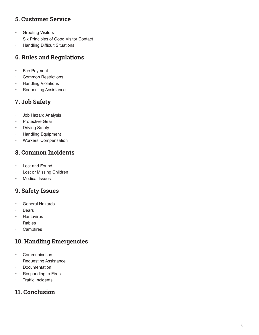### **5. Customer Service**

- Greeting Visitors
- Six Principles of Good Visitor Contact
- Handling Difficult Situations

### **6. Rules and Regulations**

- Fee Payment
- Common Restrictions
- Handling Violations
- Requesting Assistance

### **7. Job Safety**

- Job Hazard Analysis
- Protective Gear
- Driving Safety
- Handling Equipment
- Workers' Compensation

### **8. Common Incidents**

- Lost and Found
- Lost or Missing Children
- **Medical Issues**

### **9. Safety Issues**

- General Hazards
- **Bears**
- **Hantavirus**
- **Rabies**
- Campfires

### **10. Handling Emergencies**

- Communication
- Requesting Assistance
- Documentation
- Responding to Fires
- Traffic Incidents

### **11. Conclusion**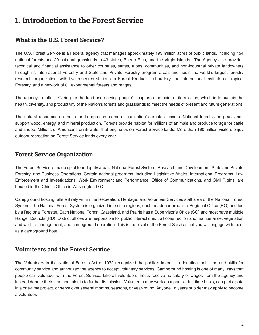### **What is the U.S. Forest Service?**

The U.S. Forest Service is a Federal agency that manages approximately 193 million acres of public lands, including 154 national forests and 20 national grasslands in 43 states, Puerto Rico, and the Virgin Islands. The Agency also provides technical and financial assistance to other countries, states, tribes, communities, and non-industrial private landowners through its International Forestry and State and Private Forestry program areas and hosts the world's largest forestry research organization, with five research stations, a Forest Products Laboratory, the International Institute of Tropical Forestry, and a network of 81 experimental forests and ranges.

The agency's motto—"Caring for the land and serving people"—captures the spirit of its mission, which is to sustain the health, diversity, and productivity of the Nation's forests and grasslands to meet the needs of present and future generations.

The natural resources on these lands represent some of our nation's greatest assets. National forests and grasslands support wood, energy, and mineral production. Forests provide habitat for millions of animals and produce forage for cattle and sheep. Millions of Americans drink water that originates on Forest Service lands. More than 160 million visitors enjoy outdoor recreation on Forest Service lands every year.

### **Forest Service Organization**

The Forest Service is made up of four deputy areas: National Forest System, Research and Development, State and Private Forestry, and Business Operations. Certain national programs, including Legislative Affairs, International Programs, Law Enforcement and Investigations, Work Environment and Performance, Office of Communications, and Civil Rights, are housed in the Chief's Office in Washington D.C.

Campground hosting falls entirely within the Recreation, Heritage, and Volunteer Services staff area of the National Forest System. The National Forest System is organized into nine regions, each headquartered in a Regional Office (RO) and led by a Regional Forester. Each National Forest, Grassland, and Prairie has a Supervisor's Office (SO) and most have multiple Ranger Districts (RD). District offices are responsible for public interactions, trail construction and maintenance, vegetation and wildlife management, and campground operation. This is the level of the Forest Service that you will engage with most as a campground host.

### **Volunteers and the Forest Service**

The Volunteers in the National Forests Act of 1972 recognized the public's interest in donating their time and skills for community service and authorized the agency to accept voluntary services. Campground hosting is one of many ways that people can volunteer with the Forest Service. Like all volunteers, hosts receive no salary or wages from the agency and instead donate their time and talents to further its mission. Volunteers may work on a part- or full-time basis, can participate in a one-time project, or serve over several months, seasons, or year-round. Anyone 18 years or older may apply to become a volunteer.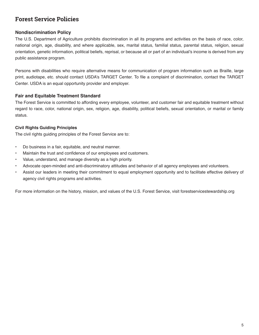### **Forest Service Policies**

#### **Nondiscrimination Policy**

The U.S. Department of Agriculture prohibits discrimination in all its programs and activities on the basis of race, color, national origin, age, disability, and where applicable, sex, marital status, familial status, parental status, religion, sexual orientation, genetic information, political beliefs, reprisal, or because all or part of an individual's income is derived from any public assistance program.

Persons with disabilities who require alternative means for communication of program information such as Braille, large print, audiotape, etc. should contact USDA's TARGET Center. To file a complaint of discrimination, contact the TARGET Center. USDA is an equal opportunity provider and employer.

#### **Fair and Equitable Treatment Standard**

The Forest Service is committed to affording every employee, volunteer, and customer fair and equitable treatment without regard to race, color, national origin, sex, religion, age, disability, political beliefs, sexual orientation, or marital or family status.

#### **Civil Rights Guiding Principles**

The civil rights guiding principles of the Forest Service are to:

- Do business in a fair, equitable, and neutral manner.
- Maintain the trust and confidence of our employees and customers.
- Value, understand, and manage diversity as a high priority.
- Advocate open-minded and anti-discriminatory attitudes and behavior of all agency employees and volunteers.
- Assist our leaders in meeting their commitment to equal employment opportunity and to facilitate effective delivery of agency civil rights programs and activities.

For more information on the history, mission, and values of the U.S. Forest Service, visit forestservicestewardship.org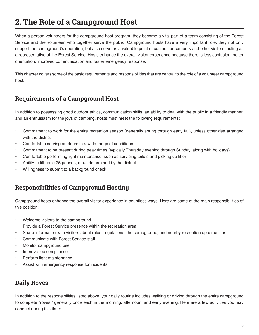## **2. The Role of a Campground Host**

When a person volunteers for the campground host program, they become a vital part of a team consisting of the Forest Service and the volunteer, who together serve the public. Campground hosts have a very important role: they not only support the campground's operation, but also serve as a valuable point of contact for campers and other visitors, acting as a representative of the Forest Service. Hosts enhance the overall visitor experience because there is less confusion, better orientation, improved communication and faster emergency response.

This chapter covers some of the basic requirements and responsibilities that are central to the role of a volunteer campground host.

### **Requirements of a Campground Host**

In addition to possessing good outdoor ethics, communication skills, an ability to deal with the public in a friendly manner, and an enthusiasm for the joys of camping, hosts must meet the following requirements:

- Commitment to work for the entire recreation season (generally spring through early fall), unless otherwise arranged with the district
- Comfortable serving outdoors in a wide range of conditions
- Commitment to be present during peak times (typically Thursday evening through Sunday, along with holidays)
- Comfortable performing light maintenance, such as servicing toilets and picking up litter
- Ability to lift up to 25 pounds, or as determined by the district
- Willingness to submit to a background check

### **Responsibilities of Campground Hosting**

Campground hosts enhance the overall visitor experience in countless ways. Here are some of the main responsibilities of this position:

- Welcome visitors to the campground
- Provide a Forest Service presence within the recreation area
- Share information with visitors about rules, regulations, the campground, and nearby recreation opportunities
- Communicate with Forest Service staff
- Monitor campground use
- Improve fee compliance
- Perform light maintenance
- Assist with emergency response for incidents

### **Daily Roves**

In addition to the responsibilities listed above, your daily routine includes walking or driving through the entire campground to complete "roves," generally once each in the morning, afternoon, and early evening. Here are a few activities you may conduct during this time: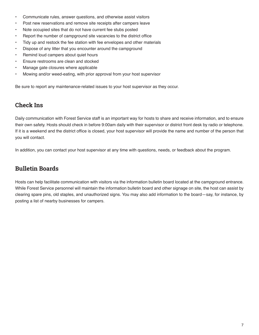- Communicate rules, answer questions, and otherwise assist visitors
- Post new reservations and remove site receipts after campers leave
- Note occupied sites that do not have current fee stubs posted
- Report the number of campground site vacancies to the district office
- Tidy up and restock the fee station with fee envelopes and other materials
- Dispose of any litter that you encounter around the campground
- Remind loud campers about quiet hours
- Ensure restrooms are clean and stocked
- Manage gate closures where applicable
- Mowing and/or weed-eating, with prior approval from your host supervisor

Be sure to report any maintenance-related issues to your host supervisor as they occur.

### **Check Ins**

Daily communication with Forest Service staff is an important way for hosts to share and receive information, and to ensure their own safety. Hosts should check in before 9:00am daily with their supervisor or district front desk by radio or telephone. If it is a weekend and the district office is closed, your host supervisor will provide the name and number of the person that you will contact.

In addition, you can contact your host supervisor at any time with questions, needs, or feedback about the program.

### **Bulletin Boards**

Hosts can help facilitate communication with visitors via the information bulletin board located at the campground entrance. While Forest Service personnel will maintain the information bulletin board and other signage on site, the host can assist by clearing spare pins, old staples, and unauthorized signs. You may also add information to the board—say, for instance, by posting a list of nearby businesses for campers.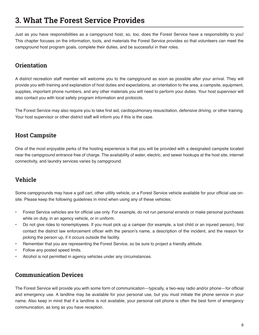## **3. What The Forest Service Provides**

Just as you have responsibilities as a campground host, so, too, does the Forest Service have a responsibility to you! This chapter focuses on the information, tools, and materials the Forest Service provides so that volunteers can meet the campground host program goals, complete their duties, and be successful in their roles.

### **Orientation**

A district recreation staff member will welcome you to the campground as soon as possible after your arrival. They will provide you with training and explanation of host duties and expectations, an orientation to the area, a campsite, equipment, supplies, important phone numbers, and any other materials you will need to perform your duties. Your host supervisor will also contact you with local safety program information and protocols.

The Forest Service may also require you to take first aid, cardiopulmonary resuscitation, defensive driving, or other training. Your host supervisor or other district staff will inform you if this is the case.

### **Host Campsite**

One of the most enjoyable perks of the hosting experience is that you will be provided with a designated campsite located near the campground entrance free of charge. The availability of water, electric, and sewer hookups at the host site, internet connectivity, and laundry services varies by campground.

### **Vehicle**

Some campgrounds may have a golf cart, other utility vehicle, or a Forest Service vehicle available for your official use onsite. Please keep the following guidelines in mind when using any of these vehicles:

- Forest Service vehicles are for official use only. For example, do not run personal errands or make personal purchases while on duty, in an agency vehicle, or in uniform.
- Do not give rides to nonemployees. If you must pick up a camper (for example, a lost child or an injured person), first contact the district law enforcement officer with the person's name, a description of the incident, and the reason for picking the person up, if it occurs outside the facility.
- Remember that you are representing the Forest Service, so be sure to project a friendly attitude.
- Follow any posted speed limits.
- Alcohol is not permitted in agency vehicles under any circumstances.

### **Communication Devices**

The Forest Service will provide you with some form of communication—typically, a two-way radio and/or phone—for official and emergency use. A landline may be available for your personal use, but you must initiate the phone service in your name. Also keep in mind that if a landline is not available, your personal cell phone is often the best form of emergency communication, as long as you have reception.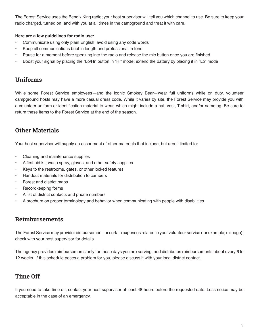The Forest Service uses the Bendix King radio; your host supervisor will tell you which channel to use. Be sure to keep your radio charged, turned on, and with you at all times in the campground and treat it with care.

#### **Here are a few guidelines for radio use:**

- Communicate using only plain English; avoid using any code words
- Keep all communications brief in length and professional in tone
- Pause for a moment before speaking into the radio and release the mic button once you are finished
- Boost your signal by placing the "Lo/Hi" button in "Hi" mode; extend the battery by placing it in "Lo" mode

### **Uniforms**

While some Forest Service employees—and the iconic Smokey Bear—wear full uniforms while on duty, volunteer campground hosts may have a more casual dress code. While it varies by site, the Forest Service may provide you with a volunteer uniform or identification material to wear, which might include a hat, vest, T-shirt, and/or nametag. Be sure to return these items to the Forest Service at the end of the season.

### **Other Materials**

Your host supervisor will supply an assortment of other materials that include, but aren't limited to:

- Cleaning and maintenance supplies
- A first aid kit, wasp spray, gloves, and other safety supplies
- Keys to the restrooms, gates, or other locked features
- Handout materials for distribution to campers
- Forest and district maps
- Recordkeeping forms
- A list of district contacts and phone numbers
- A brochure on proper terminology and behavior when communicating with people with disabilities

### **Reimbursements**

The Forest Service may provide reimbursement for certain expenses related to your volunteer service (for example, mileage); check with your host supervisor for details.

The agency provides reimbursements only for those days you are serving, and distributes reimbursements about every 6 to 12 weeks. If this schedule poses a problem for you, please discuss it with your local district contact.

### **Time Off**

If you need to take time off, contact your host supervisor at least 48 hours before the requested date. Less notice may be acceptable in the case of an emergency.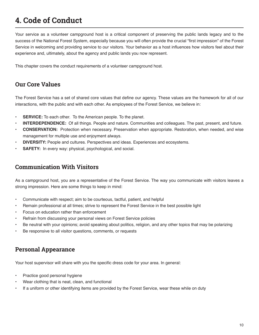## **4. Code of Conduct**

Your service as a volunteer campground host is a critical component of preserving the public lands legacy and to the success of the National Forest System, especially because you will often provide the crucial "first impression" of the Forest Service in welcoming and providing service to our visitors. Your behavior as a host influences how visitors feel about their experience and, ultimately, about the agency and public lands you now represent.

This chapter covers the conduct requirements of a volunteer campground host.

### **Our Core Values**

The Forest Service has a set of shared core values that define our agency. These values are the framework for all of our interactions, with the public and with each other. As employees of the Forest Service, we believe in:

- **SERVICE:** To each other. To the American people. To the planet.
- **• INTERDEPENDENCE:** Of all things. People and nature. Communities and colleagues. The past, present, and future.
- **• CONSERVATION:** Protection when necessary. Preservation when appropriate. Restoration, when needed, and wise management for multiple use and enjoyment always.
- **• DIVERSITY:** People and cultures. Perspectives and ideas. Experiences and ecosystems.
- **• SAFETY:** In every way: physical, psychological, and social.

### **Communication With Visitors**

As a campground host, you are a representative of the Forest Service. The way you communicate with visitors leaves a strong impression. Here are some things to keep in mind:

- Communicate with respect; aim to be courteous, tactful, patient, and helpful
- Remain professional at all times; strive to represent the Forest Service in the best possible light
- Focus on education rather than enforcement
- Refrain from discussing your personal views on Forest Service policies
- Be neutral with your opinions; avoid speaking about politics, religion, and any other topics that may be polarizing
- Be responsive to all visitor questions, comments, or requests

### **Personal Appearance**

Your host supervisor will share with you the specific dress code for your area. In general:

- Practice good personal hygiene
- Wear clothing that is neat, clean, and functional
- If a uniform or other identifying items are provided by the Forest Service, wear these while on duty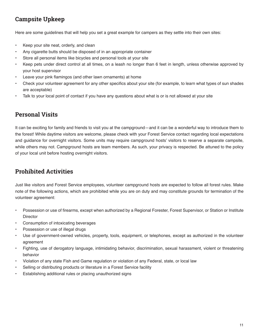### **Campsite Upkeep**

Here are some guidelines that will help you set a great example for campers as they settle into their own sites:

- Keep your site neat, orderly, and clean
- Any cigarette butts should be disposed of in an appropriate container
- Store all personal items like bicycles and personal tools at your site
- Keep pets under direct control at all times, on a leash no longer than 6 feet in length, unless otherwise approved by your host supervisor
- Leave your pink flamingos (and other lawn ornaments) at home
- Check your volunteer agreement for any other specifics about your site (for example, to learn what types of sun shades are acceptable)
- Talk to your local point of contact if you have any questions about what is or is not allowed at your site

### **Personal Visits**

It can be exciting for family and friends to visit you at the campground—and it can be a wonderful way to introduce them to the forest! While daytime visitors are welcome, please check with your Forest Service contact regarding local expectations and guidance for overnight visitors. Some units may require campground hosts' visitors to reserve a separate campsite, while others may not. Campground hosts are team members. As such, your privacy is respected. Be attuned to the policy of your local unit before hosting overnight visitors.

### **Prohibited Activities**

Just like visitors and Forest Service employees, volunteer campground hosts are expected to follow all forest rules. Make note of the following actions, which are prohibited while you are on duty and may constitute grounds for termination of the volunteer agreement:

- Possession or use of firearms, except when authorized by a Regional Forester, Forest Supervisor, or Station or Institute **Director**
- Consumption of intoxicating beverages
- Possession or use of illegal drugs
- Use of government-owned vehicles, property, tools, equipment, or telephones, except as authorized in the volunteer agreement
- Fighting, use of derogatory language, intimidating behavior, discrimination, sexual harassment, violent or threatening behavior
- Violation of any state Fish and Game regulation or violation of any Federal, state, or local law
- Selling or distributing products or literature in a Forest Service facility
- Establishing additional rules or placing unauthorized signs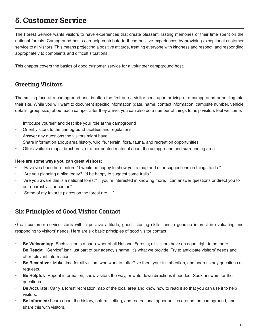## **5. Customer Service**

The Forest Service wants visitors to have experiences that create pleasant, lasting memories of their time spent on the national forests. Campground hosts can help contribute to these positive experiences by providing exceptional customer service to all visitors. This means projecting a positive attitude, treating everyone with kindness and respect, and responding appropriately to complaints and difficult situations.

This chapter covers the basics of good customer service for a volunteer campground host.

### **Greeting Visitors**

The smiling face of a campground host is often the first one a visitor sees upon arriving at a campground or settling into their site. While you will want to document specific information (date, name, contact information, campsite number, vehicle details, group size) about each camper after they arrive, you can also do a number of things to help visitors feel welcome:

- Introduce yourself and describe your role at the campground
- Orient visitors to the campground facilities and regulations
- Answer any questions the visitors might have
- Share information about area history, wildlife, terrain, flora, fauna, and recreation opportunities
- Offer available maps, brochures, or other printed material about the campground and surrounding area

#### **Here are some ways you can greet visitors:**

- "Have you been here before? I would be happy to show you a map and offer suggestions on things to do."
- "Are you planning a hike today? I'd be happy to suggest some trails."
- "Are you aware this is a national forest? If you're interested in knowing more, I can answer questions or direct you to our nearest visitor center."
- "Some of my favorite places on the forest are…."

### **Six Principles of Good Visitor Contact**

Great customer service starts with a positive attitude, good listening skills, and a genuine interest in evaluating and responding to visitors' needs. Here are six basic principles of good visitor contact:

- **• Be Welcoming:** Each visitor is a part-owner of all National Forests; all visitors have an equal right to be there.
- **• Be Ready:** "Service" isn't just part of our agency's name; it's what we provide. Try to anticipate visitors' needs and offer relevant information.
- **• Be Receptive:** Make time for all visitors who want to talk. Give them your full attention, and address any questions or requests.
- **• Be Helpful:** Repeat information, show visitors the way, or write down directions if needed. Seek answers for their questions.
- **• Be Accurate:** Carry a forest recreation map of the local area and know how to read it so that you can use it to help visitors.
- **• Be Informed:** Learn about the history, natural setting, and recreational opportunities around the campground, and share this with visitors.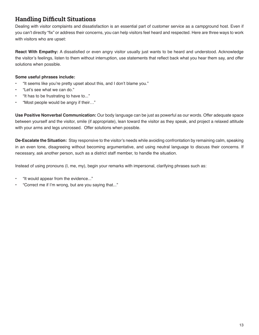### **Handling Difficult Situations**

Dealing with visitor complaints and dissatisfaction is an essential part of customer service as a campground host. Even if you can't directly "fix" or address their concerns, you can help visitors feel heard and respected. Here are three ways to work with visitors who are upset:

**React With Empathy:** A dissatisfied or even angry visitor usually just wants to be heard and understood. Acknowledge the visitor's feelings, listen to them without interruption, use statements that reflect back what you hear them say, and offer solutions when possible.

#### **Some useful phrases include:**

- "It seems like you're pretty upset about this, and I don't blame you."
- "Let's see what we can do."
- "It has to be frustrating to have to..."
- "Most people would be angry if their…"

**Use Positive Nonverbal Communication:** Our body language can be just as powerful as our words. Offer adequate space between yourself and the visitor, smile (if appropriate), lean toward the visitor as they speak, and project a relaxed attitude with your arms and legs uncrossed. Offer solutions when possible.

**De-Escalate the Situation:** Stay responsive to the visitor's needs while avoiding confrontation by remaining calm, speaking in an even tone, disagreeing without becoming argumentative, and using neutral language to discuss their concerns. If necessary, ask another person, such as a district staff member, to handle the situation.

Instead of using pronouns (I, me, my), begin your remarks with impersonal, clarifying phrases such as:

- "It would appear from the evidence..."
- "Correct me if I'm wrong, but are you saying that..."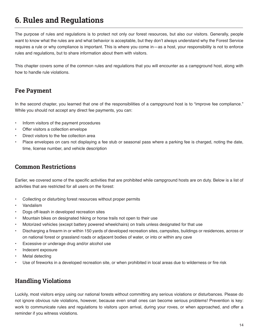## **6. Rules and Regulations**

The purpose of rules and regulations is to protect not only our forest resources, but also our visitors. Generally, people want to know what the rules are and what behavior is acceptable, but they don't always understand why the Forest Service requires a rule or why compliance is important. This is where you come in—as a host, your responsibility is not to enforce rules and regulations, but to share information about them with visitors.

This chapter covers some of the common rules and regulations that you will encounter as a campground host, along with how to handle rule violations.

### **Fee Payment**

In the second chapter, you learned that one of the responsibilities of a campground host is to "improve fee compliance." While you should not accept any direct fee payments, you can:

- Inform visitors of the payment procedures
- Offer visitors a collection envelope
- Direct visitors to the fee collection area
- Place envelopes on cars not displaying a fee stub or seasonal pass where a parking fee is charged, noting the date, time, license number, and vehicle description

### **Common Restrictions**

Earlier, we covered some of the specific activities that are prohibited while campground hosts are on duty. Below is a list of activities that are restricted for all users on the forest:

- Collecting or disturbing forest resources without proper permits
- Vandalism
- Dogs off-leash in developed recreation sites
- Mountain bikes on designated hiking or horse trails not open to their use
- Motorized vehicles (except battery powered wheelchairs) on trails unless designated for that use
- Discharging a firearm in or within 150 yards of developed recreation sites, campsites, buildings or residences, across or on national forest or grassland roads or adjacent bodies of water, or into or within any cave
- Excessive or underage drug and/or alcohol use
- Indecent exposure
- Metal detecting
- Use of fireworks in a developed recreation site, or when prohibited in local areas due to wilderness or fire risk

### **Handling Violations**

Luckily, most visitors enjoy using our national forests without committing any serious violations or disturbances. Please do not ignore obvious rule violations, however, because even small ones can become serious problems! Prevention is key: work to communicate rules and regulations to visitors upon arrival, during your roves, or when approached, and offer a reminder if you witness violations.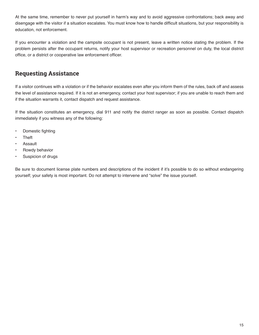At the same time, remember to never put yourself in harm's way and to avoid aggressive confrontations; back away and disengage with the visitor if a situation escalates. You must know how to handle difficult situations, but your responsibility is education, not enforcement.

If you encounter a violation and the campsite occupant is not present, leave a written notice stating the problem. If the problem persists after the occupant returns, notify your host supervisor or recreation personnel on duty, the local district office, or a district or cooperative law enforcement officer.

### **Requesting Assistance**

If a visitor continues with a violation or if the behavior escalates even after you inform them of the rules, back off and assess the level of assistance required. If it is not an emergency, contact your host supervisor; if you are unable to reach them and if the situation warrants it, contact dispatch and request assistance.

If the situation constitutes an emergency, dial 911 and notify the district ranger as soon as possible. Contact dispatch immediately if you witness any of the following:

- Domestic fighting
- **Theft**
- Assault
- Rowdy behavior
- Suspicion of drugs

Be sure to document license plate numbers and descriptions of the incident if it's possible to do so without endangering yourself; your safety is most important. Do not attempt to intervene and "solve" the issue yourself.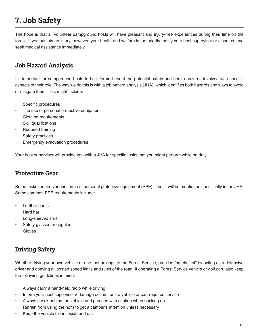## **7. Job Safety**

The hope is that all volunteer campground hosts will have pleasant and injury-free experiences during their time on the forest. If you sustain an injury, however, your health and welfare is the priority; notify your host supervisor or dispatch, and seek medical assistance immediately.

### **Job Hazard Analysis**

It's important for campground hosts to be informed about the potential safety and health hazards involved with specific aspects of their role. The way we do this is with a job hazard analysis (JHA), which identifies both hazards and ways to avoid or mitigate them. This might include:

- Specific procedures
- The use of personal protective equipment
- Clothing requirements
- Skill qualifications
- Required training
- Safety practices
- **Emergency evacuation procedures**

Your host supervisor will provide you with a JHA for specific tasks that you might perform while on duty.

### **Protective Gear**

Some tasks require various forms of personal protective equipment (PPE); if so, it will be mentioned specifically in the JHA. Some common PPE requirements include:

- **Leather boots**
- Hard hat
- Long-sleeved shirt
- Safety glasses or goggles
- **Gloves**

### **Driving Safety**

Whether driving your own vehicle or one that belongs to the Forest Service, practice "safety first" by acting as a defensive driver and obeying all posted speed limits and rules of the road. If operating a Forest Service vehicle or golf cart, also keep the following guidelines in mind:

- Always carry a hand-held radio while driving
- Inform your host supervisor if damage occurs, or if a vehicle or cart requires service
- Always check behind the vehicle and proceed with caution when backing up
- Refrain from using the horn to get a camper's attention unless necessary
- Keep the vehicle clean inside and out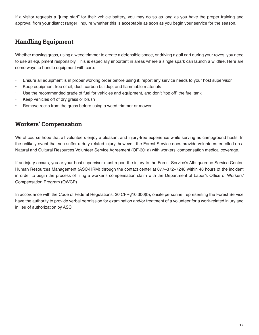If a visitor requests a "jump start" for their vehicle battery, you may do so as long as you have the proper training and approval from your district ranger; inquire whether this is acceptable as soon as you begin your service for the season.

### **Handling Equipment**

Whether mowing grass, using a weed trimmer to create a defensible space, or driving a golf cart during your roves, you need to use all equipment responsibly. This is especially important in areas where a single spark can launch a wildfire. Here are some ways to handle equipment with care:

- Ensure all equipment is in proper working order before using it; report any service needs to your host supervisor
- Keep equipment free of oil, dust, carbon buildup, and flammable materials
- Use the recommended grade of fuel for vehicles and equipment, and don't "top off" the fuel tank
- Keep vehicles off of dry grass or brush
- Remove rocks from the grass before using a weed trimmer or mower

### **Workers' Compensation**

We of course hope that all volunteers enjoy a pleasant and injury-free experience while serving as campground hosts. In the unlikely event that you suffer a duty-related injury, however, the Forest Service does provide volunteers enrolled on a Natural and Cultural Resources Volunteer Service Agreement (OF-301a) with workers' compensation medical coverage.

If an injury occurs, you or your host supervisor must report the injury to the Forest Service's Albuquerque Service Center, Human Resources Management (ASC-HRM) through the contact center at 877–372–7248 within 48 hours of the incident in order to begin the process of filing a worker's compensation claim with the Department of Labor's Office of Workers' Compensation Program (OWCP).

In accordance with the Code of Federal Regulations, 20 CFR§10.300(b), onsite personnel representing the Forest Service have the authority to provide verbal permission for examination and/or treatment of a volunteer for a work-related injury and in lieu of authorization by ASC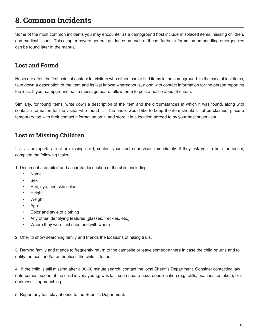## **8. Common Incidents**

Some of the most common incidents you may encounter as a campground host include misplaced items, missing children, and medical issues. This chapter covers general guidance on each of these; further information on handling emergencies can be found later in the manual.

### **Lost and Found**

Hosts are often the first point of contact for visitors who either lose or find items in the campground. In the case of lost items, take down a description of the item and its last known whereabouts, along with contact information for the person reporting the loss. If your campground has a message board, allow them to post a notice about the item.

Similarly, for found items, write down a description of the item and the circumstances in which it was found, along with contact information for the visitor who found it. If the finder would like to keep the item should it not be claimed, place a temporary tag with their contact information on it, and store it in a location agreed to by your host supervisor.

### **Lost or Missing Children**

If a visitor reports a lost or missing child, contact your host supervisor immediately. If they ask you to help the visitor, complete the following tasks:

1. Document a detailed and accurate description of the child, including:

- Name
- Sex
- Hair, eye, and skin color
- **Height**
- **Weight**
- Age
- Color and style of clothing
- Any other identifying features (glasses, freckles, etc.)
- Where they were last seen and with whom

2. Offer to show searching family and friends the locations of hiking trails.

3. Remind family and friends to frequently return to the campsite or leave someone there in case the child returns and to notify the host and/or authoritiesif the child is found.

4. If the child is still missing after a 30-60 minute search, contact the local Sheriff's Department. Consider contacting law enforcement sooner if the child is very young, was last seen near a hazardous location (e.g. cliffs, beaches, or lakes), or if darkness is approaching.

5. Report any foul play at once to the Sheriff's Department.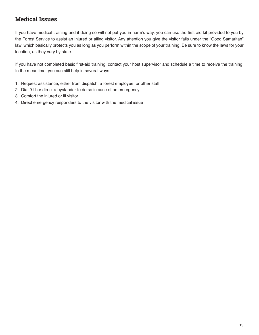### **Medical Issues**

If you have medical training and if doing so will not put you in harm's way, you can use the first aid kit provided to you by the Forest Service to assist an injured or ailing visitor. Any attention you give the visitor falls under the "Good Samaritan" law, which basically protects you as long as you perform within the scope of your training. Be sure to know the laws for your location, as they vary by state.

If you have not completed basic first-aid training, contact your host supervisor and schedule a time to receive the training. In the meantime, you can still help in several ways:

- 1. Request assistance, either from dispatch, a forest employee, or other staff
- 2. Dial 911 or direct a bystander to do so in case of an emergency
- 3. Comfort the injured or ill visitor
- 4. Direct emergency responders to the visitor with the medical issue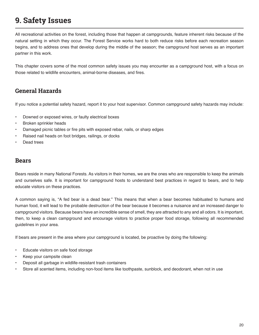## **9. Safety Issues**

All recreational activities on the forest, including those that happen at campgrounds, feature inherent risks because of the natural setting in which they occur. The Forest Service works hard to both reduce risks before each recreation season begins, and to address ones that develop during the middle of the season; the campground host serves as an important partner in this work.

This chapter covers some of the most common safety issues you may encounter as a campground host, with a focus on those related to wildlife encounters, animal-borne diseases, and fires.

### **General Hazards**

If you notice a potential safety hazard, report it to your host supervisor. Common campground safety hazards may include:

- Downed or exposed wires, or faulty electrical boxes
- Broken sprinkler heads
- Damaged picnic tables or fire pits with exposed rebar, nails, or sharp edges
- Raised nail heads on foot bridges, railings, or docks
- Dead trees

#### **Bears**

Bears reside in many National Forests. As visitors in their homes, we are the ones who are responsible to keep the animals and ourselves safe. It is important for campground hosts to understand best practices in regard to bears, and to help educate visitors on these practices.

A common saying is, "A fed bear is a dead bear." This means that when a bear becomes habituated to humans and human food, it will lead to the probable destruction of the bear because it becomes a nuisance and an increased danger to campground visitors. Because bears have an incredible sense of smell, they are attracted to any and all odors. It is important, then, to keep a clean campground and encourage visitors to practice proper food storage, following all recommended guidelines in your area.

If bears are present in the area where your campground is located, be proactive by doing the following:

- Educate visitors on safe food storage
- Keep your campsite clean
- Deposit all garbage in wildlife-resistant trash containers
- Store all scented items, including non-food items like toothpaste, sunblock, and deodorant, when not in use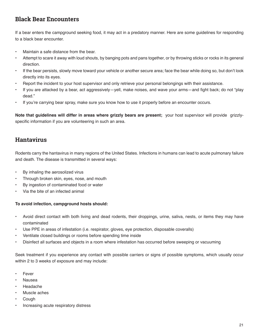### **Black Bear Encounters**

If a bear enters the campground seeking food, it may act in a predatory manner. Here are some guidelines for responding to a black bear encounter.

- Maintain a safe distance from the bear.
- Attempt to scare it away with loud shouts, by banging pots and pans together, or by throwing sticks or rocks in its general direction.
- If the bear persists, slowly move toward your vehicle or another secure area; face the bear while doing so, but don't look directly into its eyes.
- Report the incident to your host supervisor and only retrieve your personal belongings with their assistance.
- If you are attacked by a bear, act aggressively—yell, make noises, and wave your arms—and fight back; do not "play dead."
- If you're carrying bear spray, make sure you know how to use it properly before an encounter occurs.

**Note that guidelines will differ in areas where grizzly bears are present;** your host supervisor will provide grizzlyspecific information if you are volunteering in such an area.

### **Hantavirus**

Rodents carry the hantavirus in many regions of the United States. Infections in humans can lead to acute pulmonary failure and death. The disease is transmitted in several ways:

- By inhaling the aerosolized virus
- Through broken skin, eyes, nose, and mouth
- By ingestion of contaminated food or water
- Via the bite of an infected animal

#### **To avoid infection, campground hosts should:**

- Avoid direct contact with both living and dead rodents, their droppings, urine, saliva, nests, or items they may have contaminated
- Use PPE in areas of infestation (i.e. respirator, gloves, eye protection, disposable coveralls)
- Ventilate closed buildings or rooms before spending time inside
- Disinfect all surfaces and objects in a room where infestation has occurred before sweeping or vacuuming

Seek treatment if you experience any contact with possible carriers or signs of possible symptoms, which usually occur within 2 to 3 weeks of exposure and may include:

- **Fever**
- Nausea
- Headache
- Muscle aches
- Cough
- Increasing acute respiratory distress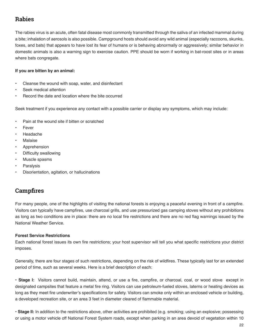### **Rabies**

The rabies virus is an acute, often fatal disease most commonly transmitted through the saliva of an infected mammal during a bite; inhalation of aerosols is also possible. Campground hosts should avoid any wild animal (especially raccoons, skunks, foxes, and bats) that appears to have lost its fear of humans or is behaving abnormally or aggressively; similar behavior in domestic animals is also a warning sign to exercise caution. PPE should be worn if working in bat-roost sites or in areas where bats congregate.

#### **If you are bitten by an animal:**

- Cleanse the wound with soap, water, and disinfectant
- Seek medical attention
- Record the date and location where the bite occurred

Seek treatment if you experience any contact with a possible carrier or display any symptoms, which may include:

- Pain at the wound site if bitten or scratched
- **Fever**
- Headache
- **Malaise**
- Apprehension
- Difficulty swallowing
- Muscle spasms
- **Paralysis**
- Disorientation, agitation, or hallucinations

### **Campfires**

For many people, one of the highlights of visiting the national forests is enjoying a peaceful evening in front of a campfire. Visitors can typically have campfires, use charcoal grills, and use pressurized gas camping stoves without any prohibitions as long as two conditions are in place: there are no local fire restrictions and there are no red flag warnings issued by the National Weather Service.

#### **Forest Service Restrictions**

Each national forest issues its own fire restrictions; your host supervisor will tell you what specific restrictions your district imposes.

Generally, there are four stages of such restrictions, depending on the risk of wildfires. These typically last for an extended period of time, such as several weeks. Here is a brief description of each:

**• Stage I:** Visitors cannot build, maintain, attend, or use a fire, campfire, or charcoal, coal, or wood stove except in designated campsites that feature a metal fire ring. Visitors can use petroleum-fueled stoves, laterns or heating devices as long as they meet fire underwriter's specifications for safety. Visitors can smoke only within an enclosed vehicle or building, a developed recreation site, or an area 3 feet in diameter cleared of flammable material.

**• Stage II:** In addition to the restrictions above, other activities are prohibited (e.g. smoking; using an explosive; possessing or using a motor vehicle off National Forest System roads, except when parking in an area devoid of vegetation within 10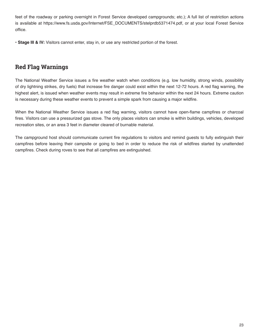feet of the roadway or parking overnight in Forest Service developed campgrounds; etc.); A full list of restriction actions is available at https://www.fs.usda.gov/Internet/FSE\_DOCUMENTS/stelprdb5371474.pdf, or at your local Forest Service office.

**• Stage III & IV:** Visitors cannot enter, stay in, or use any restricted portion of the forest.

### **Red Flag Warnings**

The National Weather Service issues a fire weather watch when conditions (e.g. low humidity, strong winds, possibility of dry lightning strikes, dry fuels) that increase fire danger could exist within the next 12-72 hours. A red flag warning, the highest alert, is issued when weather events may result in extreme fire behavior within the next 24 hours. Extreme caution is necessary during these weather events to prevent a simple spark from causing a major wildfire.

When the National Weather Service issues a red flag warning, visitors cannot have open-flame campfires or charcoal fires. Visitors can use a pressurized gas stove. The only places visitors can smoke is within buildings, vehicles, developed recreation sites, or an area 3 feet in diameter cleared of burnable material.

The campground host should communicate current fire regulations to visitors and remind guests to fully extinguish their campfires before leaving their campsite or going to bed in order to reduce the risk of wildfires started by unattended campfires. Check during roves to see that all campfires are extinguished.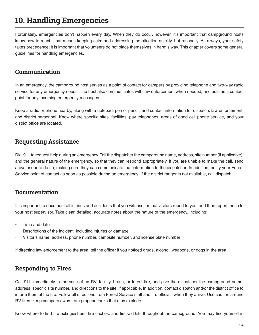## **10. Handling Emergencies**

Fortunately, emergencies don't happen every day. When they do occur, however, it's important that campground hosts know how to react—that means keeping calm and addressing the situation quickly, but rationally. As always, your safety takes precedence; it is important that volunteers do not place themselves in harm's way. This chapter covers some general guidelines for handling emergencies.

### **Communication**

In an emergency, the campground host serves as a point of contact for campers by providing telephone and two-way radio service for any emergency needs. The host also communicates with law enforcement when needed, and acts as a contact point for any incoming emergency messages.

Keep a radio or phone nearby, along with a notepad, pen or pencil, and contact information for dispatch, law enforcement, and district personnel. Know where specific sites, facilities, pay telephones, areas of good cell phone service, and your district office are located.

### **Requesting Assistance**

Dial 911 to request help during an emergency. Tell the dispatcher the campground name, address, site number (if applicable), and the general nature of the emergency, so that they can respond appropriately. If you are unable to make the call, send a bystander to do so, making sure they can communicate that information to the dispatcher. In addition, notify your Forest Service point of contact as soon as possible during an emergency. If the district ranger is not available, call dispatch.

### **Documentation**

It is important to document all injuries and accidents that you witness, or that visitors report to you, and then report these to your host supervisor. Take clear, detailed, accurate notes about the nature of the emergency, including:

- Time and date
- Descriptions of the incident, including injuries or damage
- Visitor's name, address, phone number, campsite number, and license plate number

If directing law enforcement to the area, tell the officer if you noticed drugs, alcohol, weapons, or dogs in the area.

### **Responding to Fires**

Call 911 immediately in the case of an RV, facility, brush, or forest fire, and give the dispatcher the campground name, address, specific site number, and directions to the site, if applicable. In addition, contact dispatch and/or the district office to inform them of the fire. Follow all directions from Forest Service staff and fire officials when they arrive. Use caution around RV fires; keep campers away from propane tanks that may explode.

Know where to find fire extinguishers, fire caches, and first-aid kits throughout the campground. You may find yourself in